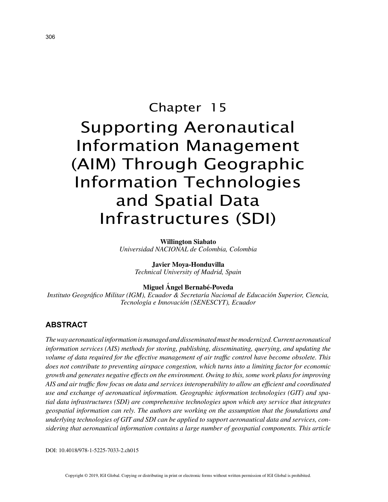# Chapter 15 Supporting Aeronautical Information Management (AIM) Through Geographic Information Technologies and Spatial Data Infrastructures (SDI)

**Willington Siabato** *Universidad NACIONAL de Colombia, Colombia*

> **Javier Moya-Honduvilla** *Technical University of Madrid, Spain*

#### **Miguel Ángel Bernabé-Poveda**

*Instituto Geográfico Militar (IGM), Ecuador & Secretaría Nacional de Educación Superior, Ciencia, Tecnología e Innovación (SENESCYT), Ecuador*

## **ABSTRACT**

*The way aeronautical information is managed and disseminated must be modernized. Current aeronautical information services (AIS) methods for storing, publishing, disseminating, querying, and updating the volume of data required for the effective management of air traffic control have become obsolete. This does not contribute to preventing airspace congestion, which turns into a limiting factor for economic growth and generates negative effects on the environment. Owing to this, some work plans for improving AIS and air traffic flow focus on data and services interoperability to allow an efficient and coordinated use and exchange of aeronautical information. Geographic information technologies (GIT) and spatial data infrastructures (SDI) are comprehensive technologies upon which any service that integrates geospatial information can rely. The authors are working on the assumption that the foundations and underlying technologies of GIT and SDI can be applied to support aeronautical data and services, considering that aeronautical information contains a large number of geospatial components. This article*

DOI: 10.4018/978-1-5225-7033-2.ch015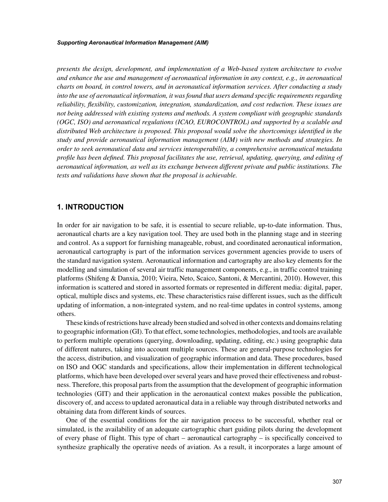#### *Supporting Aeronautical Information Management (AIM)*

*presents the design, development, and implementation of a Web-based system architecture to evolve and enhance the use and management of aeronautical information in any context, e.g., in aeronautical charts on board, in control towers, and in aeronautical information services. After conducting a study into the use of aeronautical information, it was found that users demand specific requirements regarding reliability, flexibility, customization, integration, standardization, and cost reduction. These issues are not being addressed with existing systems and methods. A system compliant with geographic standards (OGC, ISO) and aeronautical regulations (ICAO, EUROCONTROL) and supported by a scalable and distributed Web architecture is proposed. This proposal would solve the shortcomings identified in the study and provide aeronautical information management (AIM) with new methods and strategies. In order to seek aeronautical data and services interoperability, a comprehensive aeronautical metadata profile has been defined. This proposal facilitates the use, retrieval, updating, querying, and editing of aeronautical information, as well as its exchange between different private and public institutions. The tests and validations have shown that the proposal is achievable.*

### **1. INTRODUCTION**

In order for air navigation to be safe, it is essential to secure reliable, up-to-date information. Thus, aeronautical charts are a key navigation tool. They are used both in the planning stage and in steering and control. As a support for furnishing manageable, robust, and coordinated aeronautical information, aeronautical cartography is part of the information services government agencies provide to users of the standard navigation system. Aeronautical information and cartography are also key elements for the modelling and simulation of several air traffic management components, e.g., in traffic control training platforms (Shifeng & Danxia, 2010; Vieira, Neto, Scaico, Santoni, & Mercantini, 2010). However, this information is scattered and stored in assorted formats or represented in different media: digital, paper, optical, multiple discs and systems, etc. These characteristics raise different issues, such as the difficult updating of information, a non-integrated system, and no real-time updates in control systems, among others.

These kinds of restrictions have already been studied and solved in other contexts and domains relating to geographic information (GI). To that effect, some technologies, methodologies, and tools are available to perform multiple operations (querying, downloading, updating, editing, etc.) using geographic data of different natures, taking into account multiple sources. These are general-purpose technologies for the access, distribution, and visualization of geographic information and data. These procedures, based on ISO and OGC standards and specifications, allow their implementation in different technological platforms, which have been developed over several years and have proved their effectiveness and robustness. Therefore, this proposal parts from the assumption that the development of geographic information technologies (GIT) and their application in the aeronautical context makes possible the publication, discovery of, and access to updated aeronautical data in a reliable way through distributed networks and obtaining data from different kinds of sources.

One of the essential conditions for the air navigation process to be successful, whether real or simulated, is the availability of an adequate cartographic chart guiding pilots during the development of every phase of flight. This type of chart – aeronautical cartography – is specifically conceived to synthesize graphically the operative needs of aviation. As a result, it incorporates a large amount of